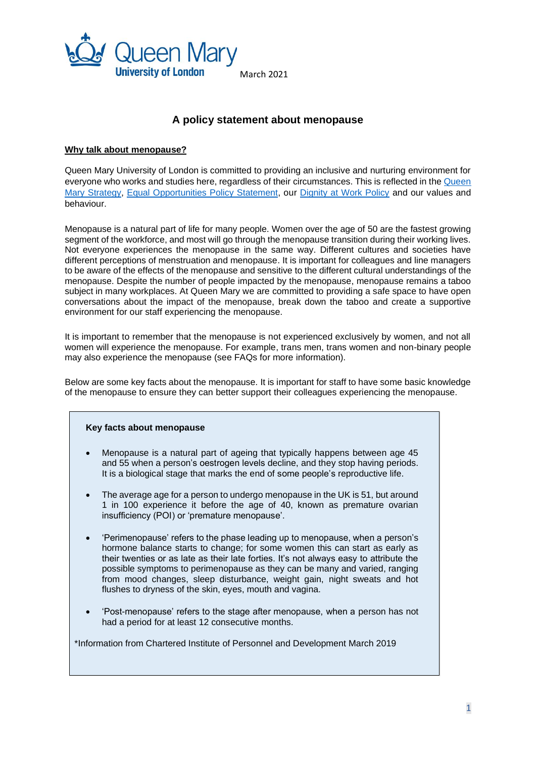

# **A policy statement about menopause**

#### **Why talk about menopause?**

Queen Mary University of London is committed to providing an inclusive and nurturing environment for everyone who works and studies here, regardless of their circumstances. This is reflected in the [Queen](https://www.qmul.ac.uk/strategy-2030/)  Mary [Strategy,](https://www.qmul.ac.uk/strategy-2030/) [Equal Opportunities Policy Statement,](http://hr.qmul.ac.uk/media/hr/docs/forms/policies/EDI-objectives---Dec16.pdf) our [Dignity at Work Policy](http://www.hr.qmul.ac.uk/procedures/policies/dignity/) and our values and behaviour.

Menopause is a natural part of life for many people. Women over the age of 50 are the fastest growing segment of the workforce, and most will go through the menopause transition during their working lives. Not everyone experiences the menopause in the same way. Different cultures and societies have different perceptions of menstruation and menopause. It is important for colleagues and line managers to be aware of the effects of the menopause and sensitive to the different cultural understandings of the menopause. Despite the number of people impacted by the menopause, menopause remains a taboo subject in many workplaces. At Queen Mary we are committed to providing a safe space to have open conversations about the impact of the menopause, break down the taboo and create a supportive environment for our staff experiencing the menopause.

It is important to remember that the menopause is not experienced exclusively by women, and not all women will experience the menopause. For example, trans men, trans women and non-binary people may also experience the menopause (see FAQs for more information).

Below are some key facts about the menopause. It is important for staff to have some basic knowledge of the menopause to ensure they can better support their colleagues experiencing the menopause.

# **Key facts about menopause**

- Menopause is a natural part of ageing that typically happens between age 45 and 55 when a person's oestrogen levels decline, and they stop having periods. It is a biological stage that marks the end of some people's reproductive life.
- The average age for a person to undergo menopause in the UK is 51, but around 1 in 100 experience it before the age of 40, known as premature ovarian insufficiency (POI) or 'premature menopause'.
- 'Perimenopause' refers to the phase leading up to menopause, when a person's hormone balance starts to change; for some women this can start as early as their twenties or as late as their late forties. It's not always easy to attribute the possible symptoms to perimenopause as they can be many and varied, ranging from mood changes, sleep disturbance, weight gain, night sweats and hot flushes to dryness of the skin, eyes, mouth and vagina.
- 'Post-menopause' refers to the stage after menopause, when a person has not had a period for at least 12 consecutive months.

\*Information from Chartered Institute of Personnel and Development March 2019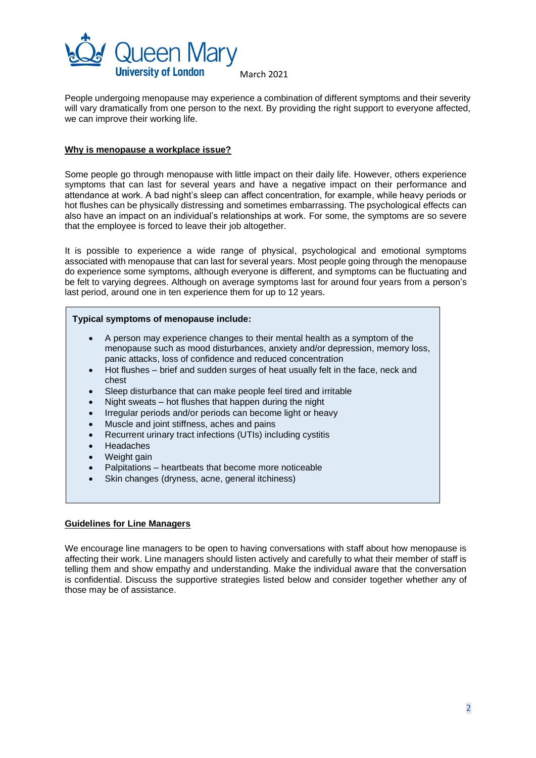

March 2021

People undergoing menopause may experience a combination of different symptoms and their severity will vary dramatically from one person to the next. By providing the right support to everyone affected, we can improve their working life.

# **Why is menopause a workplace issue?**

Some people go through menopause with little impact on their daily life. However, others experience symptoms that can last for several years and have a negative impact on their performance and attendance at work. A bad night's sleep can affect concentration, for example, while heavy periods or hot flushes can be physically distressing and sometimes embarrassing. The psychological effects can also have an impact on an individual's relationships at work. For some, the symptoms are so severe that the employee is forced to leave their job altogether.

It is possible to experience a wide range of physical, psychological and emotional symptoms associated with menopause that can last for several years. Most people going through the menopause do experience some symptoms, although everyone is different, and symptoms can be fluctuating and be felt to varying degrees. Although on average symptoms last for around four years from a person's last period, around one in ten experience them for up to 12 years.

#### **Typical symptoms of menopause include:**

- A person may experience changes to their mental health as a symptom of the menopause such as mood disturbances, anxiety and/or depression, memory loss, panic attacks, loss of confidence and reduced concentration
- Hot flushes brief and sudden surges of heat usually felt in the face, neck and chest
- Sleep disturbance that can make people feel tired and irritable
- Night sweats hot flushes that happen during the night
- Irregular periods and/or periods can become light or heavy
- Muscle and joint stiffness, aches and pains
- Recurrent urinary tract infections (UTIs) including cystitis
- Headaches
- Weight gain
- Palpitations heartbeats that become more noticeable
- Skin changes (dryness, acne, general itchiness)

# **Guidelines for Line Managers**

We encourage line managers to be open to having conversations with staff about how menopause is affecting their work. Line managers should listen actively and carefully to what their member of staff is telling them and show empathy and understanding. Make the individual aware that the conversation is confidential. Discuss the supportive strategies listed below and consider together whether any of those may be of assistance.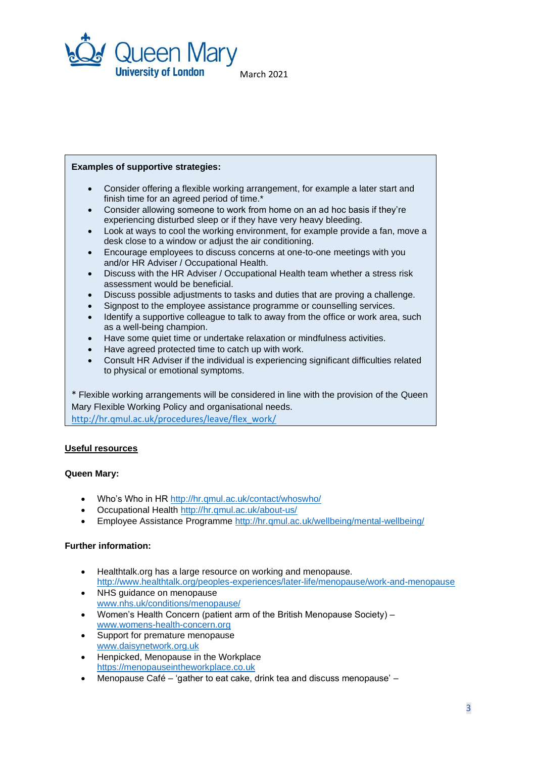

March 2021

#### **Examples of supportive strategies:**

- Consider offering a flexible working arrangement, for example a later start and finish time for an agreed period of time.\*
- Consider allowing someone to work from home on an ad hoc basis if they're experiencing disturbed sleep or if they have very heavy bleeding.
- Look at ways to cool the working environment, for example provide a fan, move a desk close to a window or adjust the air conditioning.
- Encourage employees to discuss concerns at one-to-one meetings with you and/or HR Adviser / Occupational Health.
- Discuss with the HR Adviser / Occupational Health team whether a stress risk assessment would be beneficial.
- Discuss possible adjustments to tasks and duties that are proving a challenge.
- Signpost to the employee assistance programme or counselling services.
- Identify a supportive colleague to talk to away from the office or work area, such as a well-being champion.
- Have some quiet time or undertake relaxation or mindfulness activities.
- Have agreed protected time to catch up with work.
- Consult HR Adviser if the individual is experiencing significant difficulties related to physical or emotional symptoms.

\* Flexible working arrangements will be considered in line with the provision of the Queen Mary Flexible Working Policy and organisational needs. [http://hr.qmul.ac.uk/procedures/leave/flex\\_work/](http://hr.qmul.ac.uk/procedures/leave/flex_work/)

# **Useful resources**

# **Queen Mary:**

- Who's Who in HR<http://hr.qmul.ac.uk/contact/whoswho/>
- Occupational Health <http://hr.qmul.ac.uk/about-us/>
- Employee Assistance Programme <http://hr.qmul.ac.uk/wellbeing/mental-wellbeing/>

# **Further information:**

- Healthtalk.org has a large resource on working and menopause. <http://www.healthtalk.org/peoples-experiences/later-life/menopause/work-and-menopause>
- NHS guidance on menopause [www.nhs.uk/conditions/menopause/](http://www.nhs.uk/conditions/menopause/)
- Women's Health Concern (patient arm of the British Menopause Society) [www.womens-health-concern.org](http://www.womens-health-concern.org/)
- Support for premature menopause [www.daisynetwork.org.uk](http://www.daisynetwork.org.uk/)
- Henpicked, Menopause in the Workplace [https://menopauseintheworkplace.co.uk](https://menopauseintheworkplace.co.uk/)
- Menopause Café 'gather to eat cake, drink tea and discuss menopause' –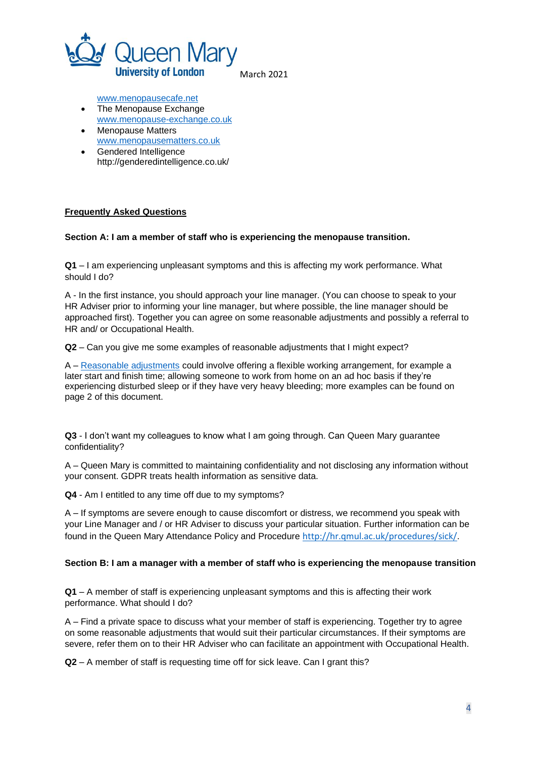

March 2021

[www.menopausecafe.net](http://www.menopausecafe.net/)

- The Menopause Exchange [www.menopause-exchange.co.uk](http://www.menopause-exchange.co.uk/)
- Menopause Matters [www.menopausematters.co.uk](http://www.menopausematters.co.uk/)
- Gendered Intelligence http://genderedintelligence.co.uk/

# **Frequently Asked Questions**

# **Section A: I am a member of staff who is experiencing the menopause transition.**

**Q1** – I am experiencing unpleasant symptoms and this is affecting my work performance. What should I do?

A - In the first instance, you should approach your line manager. (You can choose to speak to your HR Adviser prior to informing your line manager, but where possible, the line manager should be approached first). Together you can agree on some reasonable adjustments and possibly a referral to HR and/ or Occupational Health.

**Q2** – Can you give me some examples of reasonable adjustments that I might expect?

A – [Reasonable adjustments](http://hr.qmul.ac.uk/equality/protected-characteristics/disability/reasonable-adjustments-/) could involve offering a flexible working arrangement, for example a later start and finish time; allowing someone to work from home on an ad hoc basis if they're experiencing disturbed sleep or if they have very heavy bleeding; more examples can be found on page 2 of this document.

**Q3** - I don't want my colleagues to know what I am going through. Can Queen Mary guarantee confidentiality?

A – Queen Mary is committed to maintaining confidentiality and not disclosing any information without your consent. GDPR treats health information as sensitive data.

**Q4** - Am I entitled to any time off due to my symptoms?

A – If symptoms are severe enough to cause discomfort or distress, we recommend you speak with your Line Manager and / or HR Adviser to discuss your particular situation. Further information can be found in the Queen Mary Attendance Policy and Procedure <http://hr.qmul.ac.uk/procedures/sick/>.

# **Section B: I am a manager with a member of staff who is experiencing the menopause transition**

**Q1** – A member of staff is experiencing unpleasant symptoms and this is affecting their work performance. What should I do?

A – Find a private space to discuss what your member of staff is experiencing. Together try to agree on some reasonable adjustments that would suit their particular circumstances. If their symptoms are severe, refer them on to their HR Adviser who can facilitate an appointment with Occupational Health.

**Q2** – A member of staff is requesting time off for sick leave. Can I grant this?